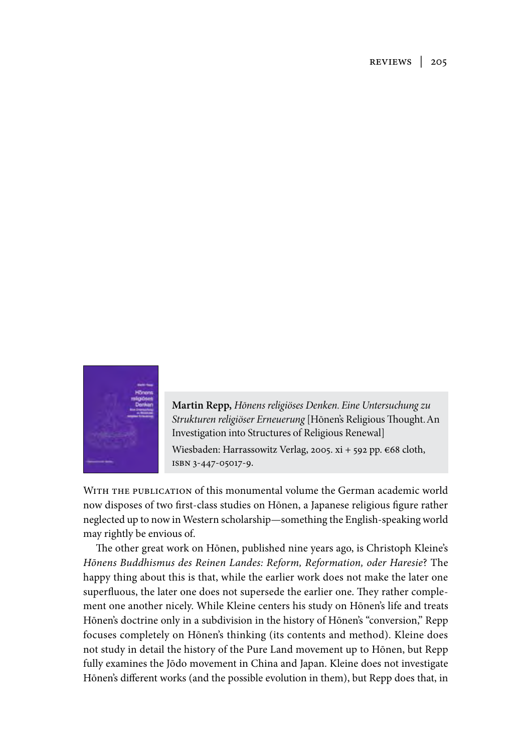reviews | 205



**Martin Repp,** *Hōnens religiöses Denken. Eine Untersuchung zu Strukturen religiöser Erneuerung* [Hōnen's Religious Thought. An Investigation into Structures of Religious Renewal] Wiesbaden: Harrassowitz Verlag, 2005. xi + 592 pp. €68 cloth, isbn 3-447-05017-9.

WITH THE PUBLICATION of this monumental volume the German academic world now disposes of two first-class studies on Hōnen, a Japanese religious figure rather neglected up to now in Western scholarship—something the English-speaking world may rightly be envious of.

The other great work on Hōnen, published nine years ago, is Christoph Kleine's *Hōnens Buddhismus des Reinen Landes: Reform, Reformation, oder Haresie*? The happy thing about this is that, while the earlier work does not make the later one superfluous, the later one does not supersede the earlier one. They rather complement one another nicely. While Kleine centers his study on Hōnen's life and treats Hōnen's doctrine only in a subdivision in the history of Hōnen's "conversion," Repp focuses completely on Hōnen's thinking (its contents and method). Kleine does not study in detail the history of the Pure Land movement up to Hōnen, but Repp fully examines the Jōdo movement in China and Japan. Kleine does not investigate Hōnen's different works (and the possible evolution in them), but Repp does that, in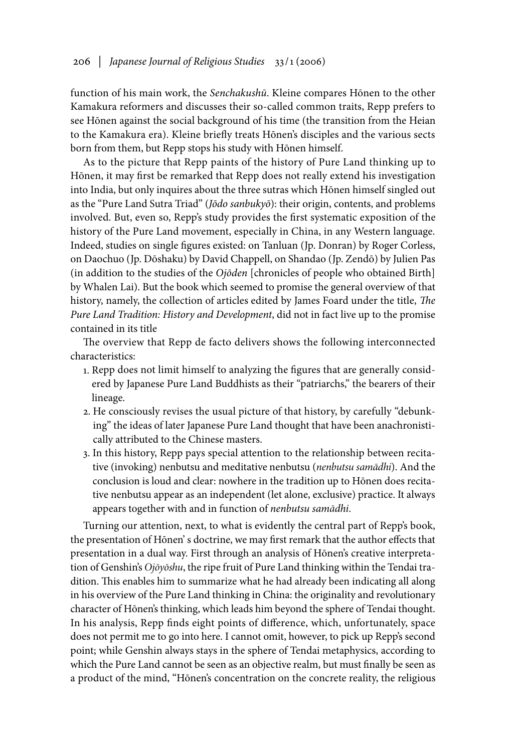function of his main work, the *Senchakushū*. Kleine compares Hōnen to the other Kamakura reformers and discusses their so-called common traits, Repp prefers to see Hōnen against the social background of his time (the transition from the Heian to the Kamakura era). Kleine briefly treats Hōnen's disciples and the various sects born from them, but Repp stops his study with Hōnen himself.

As to the picture that Repp paints of the history of Pure Land thinking up to Hōnen, it may first be remarked that Repp does not really extend his investigation into India, but only inquires about the three sutras which Hōnen himself singled out as the "Pure Land Sutra Triad" (*Jōdo sanbukyō*): their origin, contents, and problems involved. But, even so, Repp's study provides the first systematic exposition of the history of the Pure Land movement, especially in China, in any Western language. Indeed, studies on single figures existed: on Tanluan (Jp. Donran) by Roger Corless, on Daochuo (Jp. Dōshaku) by David Chappell, on Shandao (Jp. Zendō) by Julien Pas (in addition to the studies of the *Ojōden* [chronicles of people who obtained Birth] by Whalen Lai). But the book which seemed to promise the general overview of that history, namely, the collection of articles edited by James Foard under the title, *The Pure Land Tradition: History and Development*, did not in fact live up to the promise contained in its title

The overview that Repp de facto delivers shows the following interconnected characteristics:

- 1. Repp does not limit himself to analyzing the figures that are generally considered by Japanese Pure Land Buddhists as their "patriarchs," the bearers of their lineage.
- 2. He consciously revises the usual picture of that history, by carefully "debunking" the ideas of later Japanese Pure Land thought that have been anachronistically attributed to the Chinese masters.
- 3. In this history, Repp pays special attention to the relationship between recitative (invoking) nenbutsu and meditative nenbutsu (*nenbutsu samādhi*). And the conclusion is loud and clear: nowhere in the tradition up to Hōnen does recitative nenbutsu appear as an independent (let alone, exclusive) practice. It always appears together with and in function of *nenbutsu samādhi*.

Turning our attention, next, to what is evidently the central part of Repp's book, the presentation of Hōnen' s doctrine, we may first remark that the author effects that presentation in a dual way. First through an analysis of Hōnen's creative interpretation of Genshin's *Ojōyōshu*, the ripe fruit of Pure Land thinking within the Tendai tradition. This enables him to summarize what he had already been indicating all along in his overview of the Pure Land thinking in China: the originality and revolutionary character of Hōnen's thinking, which leads him beyond the sphere of Tendai thought. In his analysis, Repp finds eight points of difference, which, unfortunately, space does not permit me to go into here. I cannot omit, however, to pick up Repp's second point; while Genshin always stays in the sphere of Tendai metaphysics, according to which the Pure Land cannot be seen as an objective realm, but must finally be seen as a product of the mind, "Hōnen's concentration on the concrete reality, the religious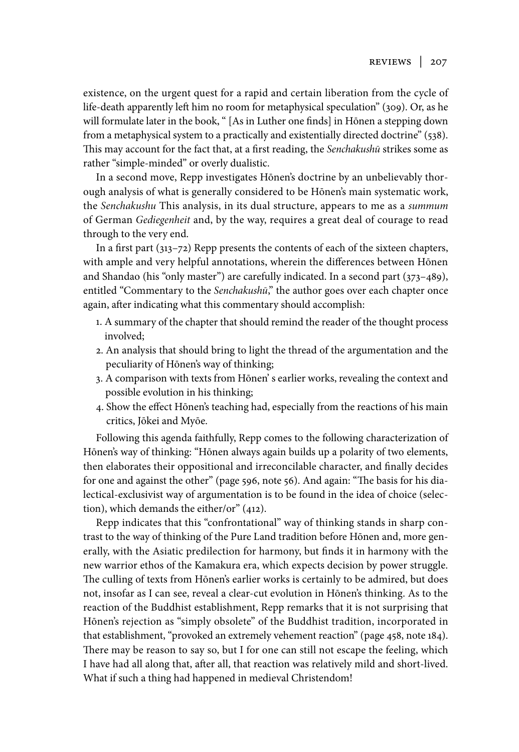existence, on the urgent quest for a rapid and certain liberation from the cycle of life-death apparently left him no room for metaphysical speculation" (309). Or, as he will formulate later in the book, " [As in Luther one finds] in Hōnen a stepping down from a metaphysical system to a practically and existentially directed doctrine" (538). This may account for the fact that, at a first reading, the *Senchakushū* strikes some as rather "simple-minded" or overly dualistic.

In a second move, Repp investigates Hōnen's doctrine by an unbelievably thorough analysis of what is generally considered to be Hōnen's main systematic work, the *Senchakushu* This analysis, in its dual structure, appears to me as a *summum* of German *Gediegenheit* and, by the way, requires a great deal of courage to read through to the very end.

In a first part (313–72) Repp presents the contents of each of the sixteen chapters, with ample and very helpful annotations, wherein the differences between Hōnen and Shandao (his "only master") are carefully indicated. In a second part (373–489), entitled "Commentary to the *Senchakushū*," the author goes over each chapter once again, after indicating what this commentary should accomplish:

- 1. A summary of the chapter that should remind the reader of the thought process involved;
- 2. An analysis that should bring to light the thread of the argumentation and the peculiarity of Hōnen's way of thinking;
- 3. A comparison with texts from Hōnen' s earlier works, revealing the context and possible evolution in his thinking;
- 4. Show the effect Hōnen's teaching had, especially from the reactions of his main critics, Jōkei and Myōe.

Following this agenda faithfully, Repp comes to the following characterization of Hōnen's way of thinking: "Hōnen always again builds up a polarity of two elements, then elaborates their oppositional and irreconcilable character, and finally decides for one and against the other" (page 596, note 56). And again: "The basis for his dialectical-exclusivist way of argumentation is to be found in the idea of choice (selection), which demands the either/or" (412).

Repp indicates that this "confrontational" way of thinking stands in sharp contrast to the way of thinking of the Pure Land tradition before Hōnen and, more generally, with the Asiatic predilection for harmony, but finds it in harmony with the new warrior ethos of the Kamakura era, which expects decision by power struggle. The culling of texts from Hōnen's earlier works is certainly to be admired, but does not, insofar as I can see, reveal a clear-cut evolution in Hōnen's thinking. As to the reaction of the Buddhist establishment, Repp remarks that it is not surprising that Hōnen's rejection as "simply obsolete" of the Buddhist tradition, incorporated in that establishment, "provoked an extremely vehement reaction" (page 458, note 184). There may be reason to say so, but I for one can still not escape the feeling, which I have had all along that, after all, that reaction was relatively mild and short-lived. What if such a thing had happened in medieval Christendom!